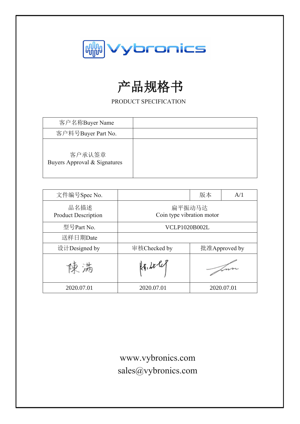

# 产品规格书

PRODUCT SPECIFICATION

| 客户名称Buyer Name                         |  |
|----------------------------------------|--|
| 客户料号Buyer Part No.                     |  |
| 客户承认签章<br>Buyers Approval & Signatures |  |

| 文件编号Spec No.                       |                                     | 版本 | A/1        |
|------------------------------------|-------------------------------------|----|------------|
| 品名描述<br><b>Product Description</b> | 扁平振动马达<br>Coin type vibration motor |    |            |
| 型号Part No.                         | <b>VCLP1020B002L</b>                |    |            |
| 送样日期Date                           |                                     |    |            |
| 设计Designed by                      | 审核Checked by<br>批准Approved by       |    |            |
| 傑 満                                | $k_{1}, k_{2}$                      |    |            |
| 2020.07.01                         | 2020.07.01                          |    | 2020.07.01 |

www.vybronics.com sales@vybronics.com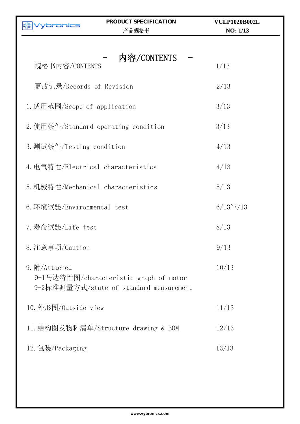| bronics                                                                                            | PRODUCT SPECIFICATION<br>产品规格书       | <b>VCLP1020B002L</b><br>NO: 1/13 |  |  |
|----------------------------------------------------------------------------------------------------|--------------------------------------|----------------------------------|--|--|
|                                                                                                    |                                      |                                  |  |  |
| 规格书内容/CONTENTS                                                                                     | 内容/CONTENTS                          | 1/13                             |  |  |
| 更改记录/Records of Revision                                                                           |                                      | 2/13                             |  |  |
| 1. 适用范围/Scope of application                                                                       |                                      | 3/13                             |  |  |
|                                                                                                    | 2. 使用条件/Standard operating condition | 3/13                             |  |  |
| 3. 测试条件/Testing condition                                                                          |                                      | 4/13                             |  |  |
| 4. 电气特性/Electrical characteristics                                                                 |                                      | 4/13                             |  |  |
| 5. 机械特性/Mechanical characteristics                                                                 | 5/13                                 |                                  |  |  |
| 6. 环境试验/Environmental test                                                                         | $6/13^{\circ}7/13$                   |                                  |  |  |
| 7. 寿命试验/Life test                                                                                  | 8/13                                 |                                  |  |  |
| 8. 注意事项/Caution                                                                                    |                                      | 9/13                             |  |  |
| 9. 附/Attached<br>9-1马达特性图/characteristic graph of motor<br>9-2标准测量方式/state of standard measurement | 10/13                                |                                  |  |  |
|                                                                                                    | 10. 外形图/Outside view                 |                                  |  |  |
|                                                                                                    | 11. 结构图及物料清单/Structure drawing & BOM |                                  |  |  |
| 12. 包装/Packaging                                                                                   |                                      | 13/13                            |  |  |
|                                                                                                    |                                      |                                  |  |  |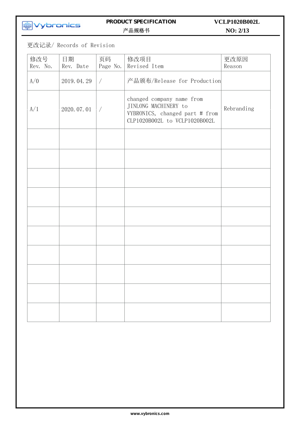# **MM**<br>Vybronics

#### **PRODUCT SPECIFICATION**  产品规格书

# **NO: 2/13 VCLP1020B002L**

更改记录/ Records of Revision

| 修改号<br>Rev. No. | 日期<br>Rev. Date | 页码<br>Page No. | 修改项目<br>Revised Item                                                                                                 | 更改原因<br>Reason |
|-----------------|-----------------|----------------|----------------------------------------------------------------------------------------------------------------------|----------------|
| A/O             | 2019.04.29      | $\bigg)$       | 产品颁布/Release for Production                                                                                          |                |
| A/1             | 2020.07.01      |                | changed company name from<br>JINLONG MACHINERY to<br>VYBRONICS, changed part # from<br>CLP1020B002L to VCLP1020B002L | Rebranding     |
|                 |                 |                |                                                                                                                      |                |
|                 |                 |                |                                                                                                                      |                |
|                 |                 |                |                                                                                                                      |                |
|                 |                 |                |                                                                                                                      |                |
|                 |                 |                |                                                                                                                      |                |
|                 |                 |                |                                                                                                                      |                |
|                 |                 |                |                                                                                                                      |                |
|                 |                 |                |                                                                                                                      |                |
|                 |                 |                |                                                                                                                      |                |
|                 |                 |                |                                                                                                                      |                |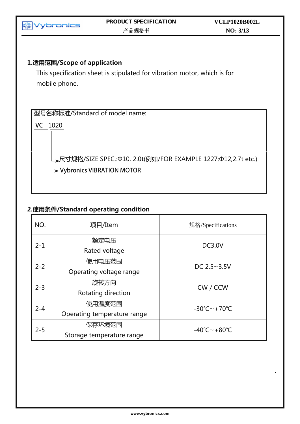

| $2 - 1$           | 额定电压<br>Rated voltage       | <b>DC3.0V</b>                           |  |
|-------------------|-----------------------------|-----------------------------------------|--|
| 使用电压范围<br>$2 - 2$ |                             | DC $2.5 - 3.5V$                         |  |
|                   | Operating voltage range     |                                         |  |
| $2 - 3$           | 旋转方向                        | CW / CCW                                |  |
|                   | Rotating direction          |                                         |  |
| $2 - 4$           | 使用温度范围                      | $-30^{\circ}$ C $\sim$ +70 $^{\circ}$ C |  |
|                   | Operating temperature range |                                         |  |
| $2 - 5$           | 保存环境范围                      | $-40^{\circ}$ C $\sim$ +80 $^{\circ}$ C |  |
|                   | Storage temperature range   |                                         |  |
|                   |                             |                                         |  |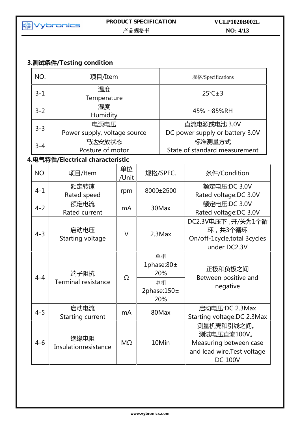

# **NO: 4/13 VCLP1020B002L**

# **3.测试条件/Testing condition**

| NO.     | 项目/Item                            |             |     |                                                   | 规格/Specifications                                                                                    |
|---------|------------------------------------|-------------|-----|---------------------------------------------------|------------------------------------------------------------------------------------------------------|
| $3 - 1$ | 温度<br>Temperature                  |             |     |                                                   | $25^{\circ}$ C $\pm$ 3                                                                               |
| $3 - 2$ | 湿度<br>Humidity                     |             |     |                                                   | $45\% \sim 85\%$ RH                                                                                  |
|         | 电源电压                               |             |     |                                                   | 直流电源或电池 3.0V                                                                                         |
| $3 - 3$ | Power supply, voltage source       |             |     |                                                   | DC power supply or battery 3.0V                                                                      |
| $3 - 4$ | 马达安放状态                             |             |     |                                                   | 标准测量方式                                                                                               |
|         | Posture of motor                   |             |     |                                                   | State of standard measurement                                                                        |
|         | 4.电气特性/Electrical characteristic   |             |     |                                                   |                                                                                                      |
| NO.     | 项目/Item                            | 单位<br>/Unit |     | 规格/SPEC.                                          | 条件/Condition                                                                                         |
| $4 - 1$ | 额定转速<br>Rated speed                | rpm         |     | 8000±2500                                         | 额定电压:DC 3.0V<br>Rated voltage:DC 3.0V                                                                |
| $4 - 2$ | 额定电流<br>Rated current              | mA          |     | 30Max                                             | 额定电压:DC 3.0V<br>Rated voltage: DC 3.0V                                                               |
| $4 - 3$ | 启动电压<br><b>Starting voltage</b>    | V           |     | $2.3$ Max                                         | DC2.3V电压下, 开/关为1个循<br>环,共3个循环<br>On/off-1cycle, total 3cycles<br>under DC2.3V                        |
| $4 - 4$ | 端子阻抗<br><b>Terminal resistance</b> | Ω           |     | 单相<br>1phase:80±<br>20%<br>双相<br>2phase: $150\pm$ | 正极和负极之间<br>Between positive and<br>negative                                                          |
|         |                                    |             | 20% |                                                   |                                                                                                      |
| $4 - 5$ | 启动电流<br><b>Starting current</b>    | mA          |     | 80Max                                             | 启动电压:DC 2.3Max<br>Starting voltage: DC 2.3Max                                                        |
| $4 - 6$ | 绝缘电阻<br>Insulationresistance       | ΜΩ          |     | 10Min                                             | 测量机壳和引线之间。<br>测试电压直流100V。<br>Measuring between case<br>and lead wire. Test voltage<br><b>DC 100V</b> |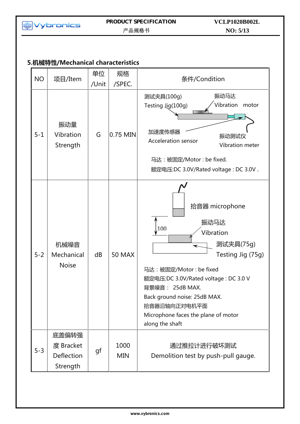

# **5.机械特性/Mechanical characteristics**

| <b>NO</b> | 项目/Item                                      | 单位<br>/Unit | 规格<br>/SPEC.       | 条件/Condition                                                                                                                                                                                                                                                                 |
|-----------|----------------------------------------------|-------------|--------------------|------------------------------------------------------------------------------------------------------------------------------------------------------------------------------------------------------------------------------------------------------------------------------|
| $5 - 1$   | 振动量<br>Vibration<br>Strength                 | G           | 0.75 MIN           | 振动马达<br>测试夹具(100g)<br>Vibration<br>motor<br>Testing Jig(100g)<br>加速度传感器<br>振动测试仪<br><b>Acceleration sensor</b><br>Vibration meter<br>马达: 被固定/Motor: be fixed.<br>额定电压:DC 3.0V/Rated voltage: DC 3.0V.                                                                        |
| $5 - 2$   | 机械噪音<br>Mechanical<br><b>Noise</b>           | dB          | <b>50 MAX</b>      | 拾音器 microphone<br>振动马达<br>100<br>Vibration<br>测试夹具(75g)<br>Testing Jig (75g)<br>马达: 被固定/Motor: be fixed<br>额定电压:DC 3.0V/Rated voltage: DC 3.0 V<br>背景噪音: 25dB MAX.<br>Back ground noise: 25dB MAX.<br>拾音器沿轴向正对电机平面<br>Microphone faces the plane of motor<br>along the shaft |
| $5 - 3$   | 底盖偏转强<br>度 Bracket<br>Deflection<br>Strength | gf          | 1000<br><b>MIN</b> | 通过推拉计进行破坏测试<br>Demolition test by push-pull gauge.                                                                                                                                                                                                                           |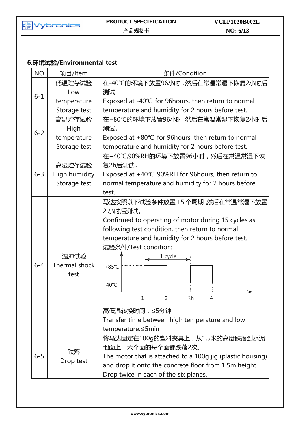

# **6.环境试验/Environmental test**

| <b>NO</b> | 项目/Item                       | 条件/Condition                                                                                                                                                                                                                                                                                                                                                                                 |  |  |
|-----------|-------------------------------|----------------------------------------------------------------------------------------------------------------------------------------------------------------------------------------------------------------------------------------------------------------------------------------------------------------------------------------------------------------------------------------------|--|--|
|           | 低温贮存试验                        | 在-40℃的环境下放置96小时,然后在常温常湿下恢复2小时后                                                                                                                                                                                                                                                                                                                                                               |  |  |
| $6 - 1$   | Low                           | 测试。                                                                                                                                                                                                                                                                                                                                                                                          |  |  |
|           | temperature                   | Exposed at -40℃ for 96hours, then return to normal                                                                                                                                                                                                                                                                                                                                           |  |  |
|           | Storage test                  | temperature and humidity for 2 hours before test.                                                                                                                                                                                                                                                                                                                                            |  |  |
|           | 高温贮存试验                        | 在+80℃的环境下放置96小时 然后在常温常湿下恢复2小时后                                                                                                                                                                                                                                                                                                                                                               |  |  |
| $6 - 2$   | High                          | 测试。                                                                                                                                                                                                                                                                                                                                                                                          |  |  |
|           | temperature                   | Exposed at +80℃ for 96hours, then return to normal                                                                                                                                                                                                                                                                                                                                           |  |  |
|           | Storage test                  | temperature and humidity for 2 hours before test.                                                                                                                                                                                                                                                                                                                                            |  |  |
|           |                               | 在+40℃,90%RH的环境下放置96小时,然后在常温常湿下恢                                                                                                                                                                                                                                                                                                                                                              |  |  |
|           | 高湿贮存试验                        | 复2h后测试。                                                                                                                                                                                                                                                                                                                                                                                      |  |  |
| $6 - 3$   | High humidity                 | Exposed at +40℃ 90%RH for 96hours, then return to                                                                                                                                                                                                                                                                                                                                            |  |  |
|           | Storage test                  | normal temperature and humidity for 2 hours before                                                                                                                                                                                                                                                                                                                                           |  |  |
|           |                               | test.                                                                                                                                                                                                                                                                                                                                                                                        |  |  |
| $6 - 4$   | 温冲试验<br>Thermal shock<br>test | 马达按照以下试验条件放置 15 个周期 然后在常温常湿下放置<br>2 小时后测试。<br>Confirmed to operating of motor during 15 cycles as<br>following test condition, then return to normal<br>temperature and humidity for 2 hours before test.<br>试验条件/Test condition:<br>$\longrightarrow$ 1 cycle<br>$+85^{\circ}$ C<br>$-40^{\circ}$ C<br>1<br>2<br>3h<br>4<br>高低温转换时间: ≤5分钟<br>Transfer time between high temperature and low |  |  |
|           |                               | temperature: ≤5min                                                                                                                                                                                                                                                                                                                                                                           |  |  |
| $6 - 5$   | 跌落<br>Drop test               | 将马达固定在100g的塑料夹具上,从1.5米的高度跌落到水泥<br>地面上,六个面的每个面都跌落2次。<br>The motor that is attached to a 100g jig (plastic housing)<br>and drop it onto the concrete floor from 1.5m height.<br>Drop twice in each of the six planes.                                                                                                                                                                          |  |  |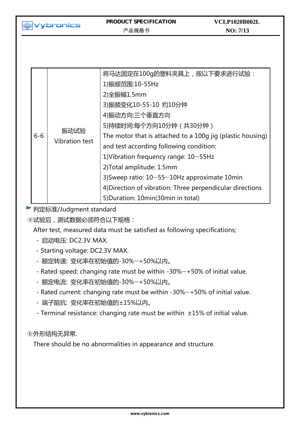**MM**<br>Vybronics

| $6-6$ | 振动试验<br><b>Vibration test</b> | 将马达固定在100g的塑料夹具上, 按以下要求进行试验:<br>1)振频范围:10-55Hz<br>2) 全振幅 1.5mm<br>3)振频变化10-55-10 约10分钟<br>4)振动方向:三个垂直方向<br>5)持续时间:每个方向10分钟 (共30分钟)<br>The motor that is attached to a 100g jig (plastic housing)<br>and test according following condition:<br>1) Vibration frequency range: $10 \sim 55$ Hz<br>2) Total amplitude: 1.5mm<br>3) Sweep ratio: $10 \sim 55 \sim 10$ Hz approximate 10 min<br>4) Direction of vibration: Three perpendicular directions |
|-------|-------------------------------|------------------------------------------------------------------------------------------------------------------------------------------------------------------------------------------------------------------------------------------------------------------------------------------------------------------------------------------------------------------------------------------------------------------------------------------------------|
|       |                               | 5) Duration: 10min (30min in total)                                                                                                                                                                                                                                                                                                                                                                                                                  |

▶ 判定标准/Judgment standard

ⓐ试验后,测试数据必须符合以下规格:

After test, measured data must be satisfied as following specifications;

- 启动电压: DC2.3V MAX.
- Starting voltage: DC2.3V MAX.
- 额定转速: 变化率在初始值的-30%~+50%以内。
- Rated speed: changing rate must be within -30%~+50% of initial value.
- 额定电流: 变化率在初始值的-30%~+50%以内。
- Rated current: changing rate must be within -30%~+50% of initial value.
- 端子阻抗: 变化率在初始值的±15%以内。
- Terminal resistance: changing rate must be within ±15% of initial value.

ⓑ外形结构无异常.

There should be no abnormalities in appearance and structure.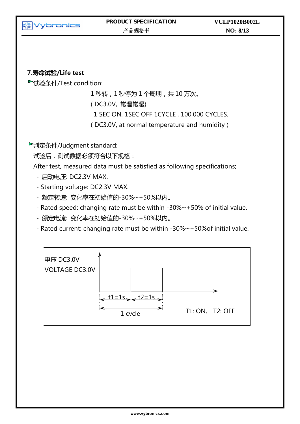

### **7.寿命试验/Life test**

试验条件/Test condition:

1 秒转,1 秒停为 1 个周期,共 10 万次。 ( DC3.0V, 常温常湿) 1 SEC ON, 1SEC OFF 1CYCLE , 100,000 CYCLES. ( DC3.0V, at normal temperature and humidity )

判定条件/Judgment standard:

试验后,测试数据必须符合以下规格:

After test, measured data must be satisfied as following specifications;

- 启动电压: DC2.3V MAX.
- Starting voltage: DC2.3V MAX.
- 额定转速: 变化率在初始值的-30%~+50%以内。
- Rated speed: changing rate must be within -30%~+50% of initial value.
- 额定电流: 变化率在初始值的-30%~+50%以内。
- Rated current: changing rate must be within -30%~+50%of initial value.

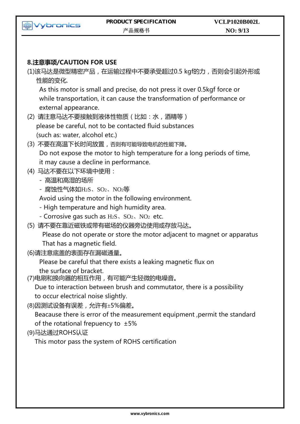

### **8.注意事项/CAUTION FOR USE**

(1)该马达是微型精密产品,在运输过程中不要承受超过0.5 kgf的力,否则会引起外形或 性能的变化.

As this motor is small and precise, do not press it over 0.5kgf force or while transportation, it can cause the transformation of performance or external appearance.

- (2) 请注意马达不要接触到液体性物质(比如:水,酒精等) please be careful, not to be contacted fluid substances (such as: water, alcohol etc.)
- (3) 不要在高温下长时间放置,否则有可能导致电机的性能下降。 Do not expose the motor to high temperature for a long periods of time, it may cause a decline in performance.
- (4) 马达不要在以下环境中使用:
	- 高温和高湿的场所
	- 腐蚀性气体如H2S、SO2、NO2等

Avoid using the motor in the following environment.

- High temperature and high humidity area.
- Corrosive gas such as  $H_2S$ ,  $SO_2$ ,  $NO_2$  etc.
- (5) 请不要在靠近磁铁或带有磁场的仪器旁边使用或存放马达。

Please do not operate or store the motor adjacent to magnet or apparatus That has a magnetic field.

(6)请注意底盖的表面存在漏磁通量。

Please be careful that there exists a leaking magnetic flux on the surface of bracket.

(7)电刷和换向器的相互作用,有可能产生轻微的电噪音。

Due to interaction between brush and commutator, there is a possibility to occur electrical noise slightly.

(8)因测试设备有误差,允许有±5%偏差。

Beacause there is error of the measurement equipment ,permit the standard of the rotational frepuency to  $±5%$ 

(9)马达通过ROHS认证

This motor pass the system of ROHS certification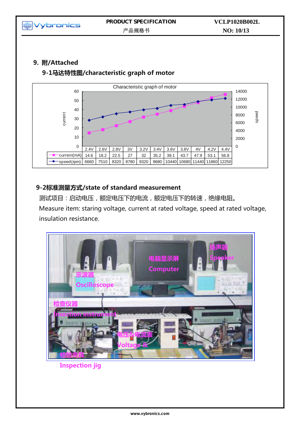

# **9. 附/Attached**

# **9-1马达特性图/characteristic graph of motor**



# **9-2标准测量方式/state of standard measurement**

测试项目:启动电压,额定电压下的电流,额定电压下的转速,绝缘电阻。 Measure item: staring voltage, current at rated voltage, speed at rated voltage, insulation resistance.



**Inspection jig**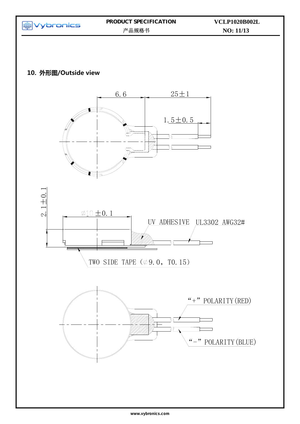

### **10. 外形图/Outside view**





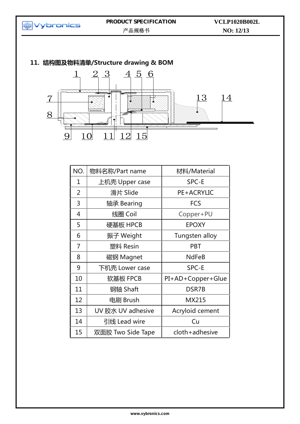

| NO. | 物料名称/Part name    | 材料/Material       |
|-----|-------------------|-------------------|
| 1   | 上机壳 Upper case    | SPC-E             |
| 2   | 滑片 Slide          | PE+ACRYLIC        |
| 3   | 轴承 Bearing        | <b>FCS</b>        |
| 4   | 线圈 Coil           | Copper+PU         |
| 5   | 硬基板 HPCB          | <b>EPOXY</b>      |
| 6   | 振子 Weight         | Tungsten alloy    |
| 7   | 塑料 Resin          | <b>PBT</b>        |
| 8   | 磁钢 Magnet         | <b>NdFeB</b>      |
| 9   | 下机壳 Lower case    | SPC-E             |
| 10  | 软基板 FPCB          | PI+AD+Copper+Glue |
| 11  | 钢轴 Shaft          | DSR7B             |
| 12  | 电刷 Brush          | MX215             |
| 13  | UV 胶水 UV adhesive | Acryloid cement   |
| 14  | 引线 Lead wire      | Cu                |
| 15  | 双面胶 Two Side Tape | cloth+adhesive    |